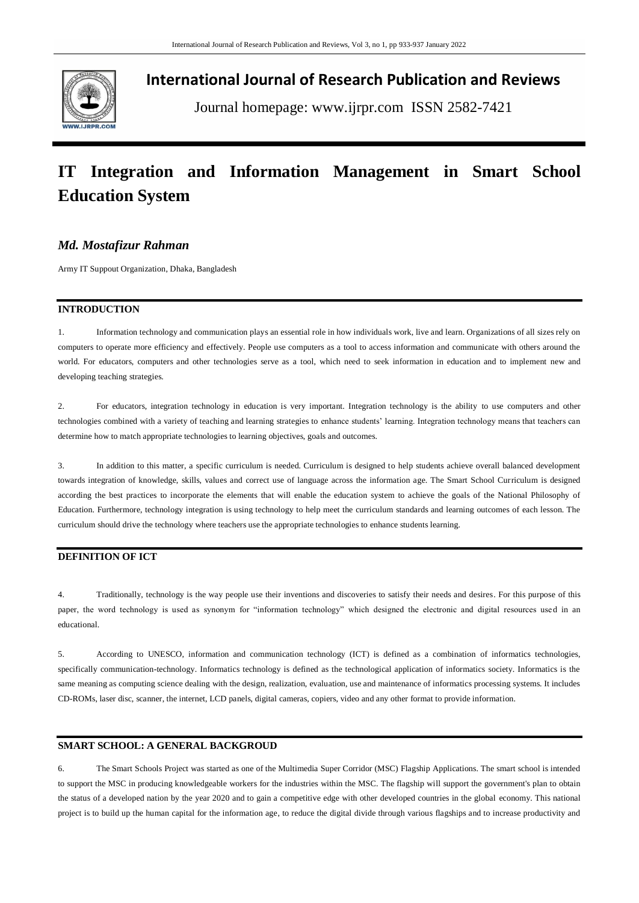

**International Journal of Research Publication and Reviews**

Journal homepage: www.ijrpr.com ISSN 2582-7421

# **IT Integration and Information Management in Smart School Education System**

## *Md. Mostafizur Rahman*

Army IT Suppout Organization, Dhaka, Bangladesh

#### **INTRODUCTION**

1. Information technology and communication plays an essential role in how individuals work, live and learn. Organizations of all sizes rely on computers to operate more efficiency and effectively. People use computers as a tool to access information and communicate with others around the world. For educators, computers and other technologies serve as a tool, which need to seek information in education and to implement new and developing teaching strategies.

2. For educators, integration technology in education is very important. Integration technology is the ability to use computers and other technologies combined with a variety of teaching and learning strategies to enhance students" learning. Integration technology means that teachers can determine how to match appropriate technologies to learning objectives, goals and outcomes.

3. In addition to this matter, a specific curriculum is needed. Curriculum is designed to help students achieve overall balanced development towards integration of knowledge, skills, values and correct use of language across the information age. The Smart School Curriculum is designed according the best practices to incorporate the elements that will enable the education system to achieve the goals of the National Philosophy of Education. Furthermore, technology integration is using technology to help meet the curriculum standards and learning outcomes of each lesson. The curriculum should drive the technology where teachers use the appropriate technologies to enhance students learning.

## **DEFINITION OF ICT**

4. Traditionally, technology is the way people use their inventions and discoveries to satisfy their needs and desires. For this purpose of this paper, the word technology is used as synonym for "information technology" which designed the electronic and digital resources used in an educational.

5. According to UNESCO, information and communication technology (ICT) is defined as a combination of informatics technologies, specifically communication-technology. Informatics technology is defined as the technological application of informatics society. Informatics is the same meaning as computing science dealing with the design, realization, evaluation, use and maintenance of informatics processing systems. It includes CD-ROMs, laser disc, scanner, the internet, LCD panels, digital cameras, copiers, video and any other format to provide information.

#### **SMART SCHOOL: A GENERAL BACKGROUD**

6. The Smart Schools Project was started as one of the Multimedia Super Corridor (MSC) Flagship Applications. The smart school is intended to support the MSC in producing knowledgeable workers for the industries within the MSC. The flagship will support the government's plan to obtain the status of a developed nation by the year 2020 and to gain a competitive edge with other developed countries in the global economy. This national project is to build up the human capital for the information age, to reduce the digital divide through various flagships and to increase productivity and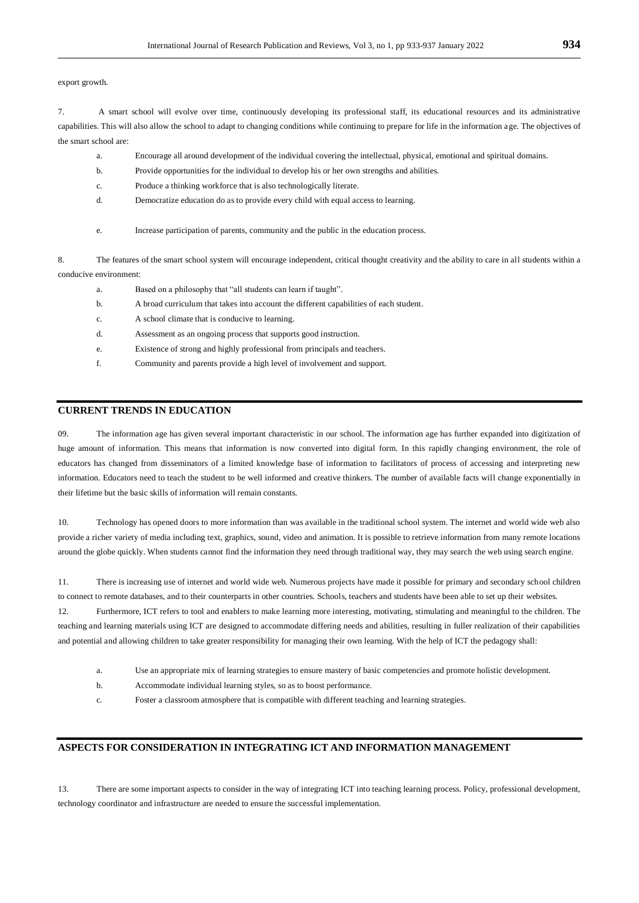export growth.

7. A smart school will evolve over time, continuously developing its professional staff, its educational resources and its administrative capabilities. This will also allow the school to adapt to changing conditions while continuing to prepare for life in the information age. The objectives of the smart school are:

- a. Encourage all around development of the individual covering the intellectual, physical, emotional and spiritual domains.
- b. Provide opportunities for the individual to develop his or her own strengths and abilities.
- c. Produce a thinking workforce that is also technologically literate.
- d. Democratize education do as to provide every child with equal access to learning.
- e. Increase participation of parents, community and the public in the education process.

8. The features of the smart school system will encourage independent, critical thought creativity and the ability to care in all students within a conducive environment:

- a. Based on a philosophy that "all students can learn if taught".
- b. A broad curriculum that takes into account the different capabilities of each student.
- c. A school climate that is conducive to learning.
- d. Assessment as an ongoing process that supports good instruction.
- e. Existence of strong and highly professional from principals and teachers.
- f. Community and parents provide a high level of involvement and support.

## **CURRENT TRENDS IN EDUCATION**

09. The information age has given several important characteristic in our school. The information age has further expanded into digitization of huge amount of information. This means that information is now converted into digital form. In this rapidly changing environment, the role of educators has changed from disseminators of a limited knowledge base of information to facilitators of process of accessing and interpreting new information. Educators need to teach the student to be well informed and creative thinkers. The number of available facts will change exponentially in their lifetime but the basic skills of information will remain constants.

10. Technology has opened doors to more information than was available in the traditional school system. The internet and world wide web also provide a richer variety of media including text, graphics, sound, video and animation. It is possible to retrieve information from many remote locations around the globe quickly. When students cannot find the information they need through traditional way, they may search the web using search engine.

11. There is increasing use of internet and world wide web. Numerous projects have made it possible for primary and secondary school children to connect to remote databases, and to their counterparts in other countries. Schools, teachers and students have been able to set up their websites.

12. Furthermore, ICT refers to tool and enablers to make learning more interesting, motivating, stimulating and meaningful to the children. The teaching and learning materials using ICT are designed to accommodate differing needs and abilities, resulting in fuller realization of their capabilities and potential and allowing children to take greater responsibility for managing their own learning. With the help of ICT the pedagogy shall:

- a. Use an appropriate mix of learning strategies to ensure mastery of basic competencies and promote holistic development.
- b. Accommodate individual learning styles, so as to boost performance.
- c. Foster a classroom atmosphere that is compatible with different teaching and learning strategies.

## **ASPECTS FOR CONSIDERATION IN INTEGRATING ICT AND INFORMATION MANAGEMENT**

13. There are some important aspects to consider in the way of integrating ICT into teaching learning process. Policy, professional development, technology coordinator and infrastructure are needed to ensure the successful implementation.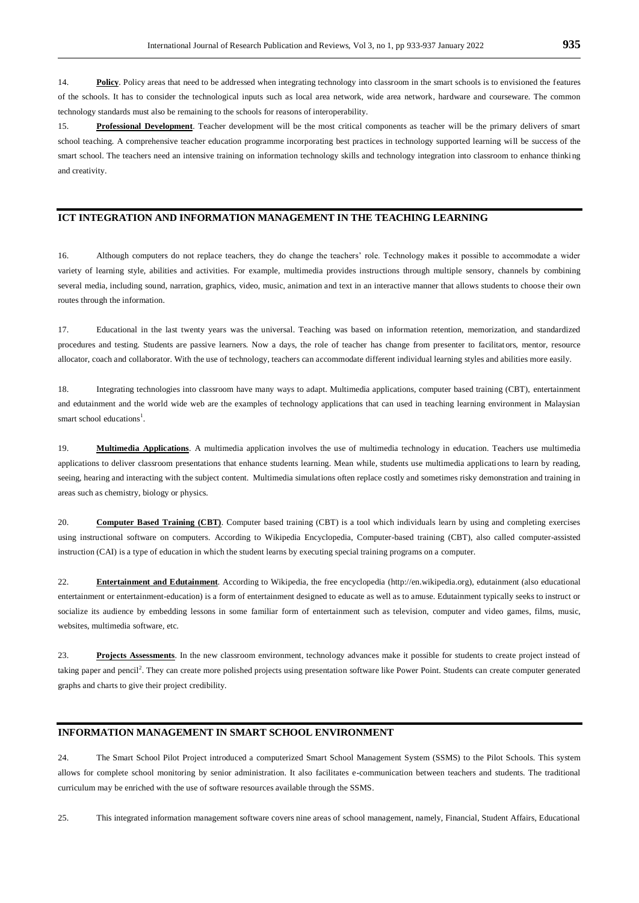14. **Policy**. Policy areas that need to be addressed when integrating technology into classroom in the smart schools is to envisioned the features of the schools. It has to consider the technological inputs such as local area network, wide area network, hardware and courseware. The common technology standards must also be remaining to the schools for reasons of interoperability.

15. **Professional Development**. Teacher development will be the most critical components as teacher will be the primary delivers of smart school teaching. A comprehensive teacher education programme incorporating best practices in technology supported learning will be success of the smart school. The teachers need an intensive training on information technology skills and technology integration into classroom to enhance thinking and creativity.

## **ICT INTEGRATION AND INFORMATION MANAGEMENT IN THE TEACHING LEARNING**

16. Although computers do not replace teachers, they do change the teachers" role. Technology makes it possible to accommodate a wider variety of learning style, abilities and activities. For example, multimedia provides instructions through multiple sensory, channels by combining several media, including sound, narration, graphics, video, music, animation and text in an interactive manner that allows students to choose their own routes through the information.

17. Educational in the last twenty years was the universal. Teaching was based on information retention, memorization, and standardized procedures and testing. Students are passive learners. Now a days, the role of teacher has change from presenter to facilitators, mentor, resource allocator, coach and collaborator. With the use of technology, teachers can accommodate different individual learning styles and abilities more easily.

18. Integrating technologies into classroom have many ways to adapt. Multimedia applications, computer based training (CBT), entertainment and edutainment and the world wide web are the examples of technology applications that can used in teaching learning environment in Malaysian smart school educations<sup>1</sup>.

19. **Multimedia Applications**. A multimedia application involves the use of multimedia technology in education. Teachers use multimedia applications to deliver classroom presentations that enhance students learning. Mean while, students use multimedia applications to learn by reading, seeing, hearing and interacting with the subject content. Multimedia simulations often replace costly and sometimes risky demonstration and training in areas such as chemistry, biology or physics.

20. **Computer Based Training (CBT)**. Computer based training (CBT) is a tool which individuals learn by using and completing exercises using instructional software on computers. According to Wikipedia Encyclopedia, Computer-based training (CBT), also called computer-assisted instruction (CAI) is a type o[f education](http://en.wikipedia.org/wiki/Education) in which the student learns by executing special training programs on a [computer.](http://en.wikipedia.org/wiki/Computer) 

22. **Entertainment and Edutainment**. According to Wikipedia, the free encyclopedia [\(http://en.wikipedia.org\)](http://en.wikipedia.org/), edutainment (also educational entertainment or entertainment-education) is a form o[f entertainment](http://en.wikipedia.org/wiki/Entertainment) designed t[o educate](http://en.wikipedia.org/wiki/Education) as well as to amuse. Edutainment typically seeks to instruct or [socialize](http://en.wikipedia.org/wiki/Socialization) its audience by embedding lessons in some familiar form of entertainment such as television, [computer and video games,](http://en.wikipedia.org/wiki/Computer_and_video_games) [films,](http://en.wikipedia.org/wiki/Film) [music,](http://en.wikipedia.org/wiki/Music)  [websites,](http://en.wikipedia.org/wiki/Website) [multimedia](http://en.wikipedia.org/wiki/Multimedia) [software,](http://en.wikipedia.org/wiki/Software) etc.

23. **Projects Assessments**. In the new classroom environment, technology advances make it possible for students to create project instead of taking paper and pencil<sup>2</sup>. They can create more polished projects using presentation software like Power Point. Students can create computer generated graphs and charts to give their project credibility.

## **INFORMATION MANAGEMENT IN SMART SCHOOL ENVIRONMENT**

24. The Smart School Pilot Project introduced a computerized Smart School Management System (SSMS) to the Pilot Schools. This system allows for complete school monitoring by senior administration. It also facilitates e-communication between teachers and students. The traditional curriculum may be enriched with the use of software resources available through the SSMS.

25. This integrated information management software covers nine areas of school management, namely, Financial, Student Affairs, Educational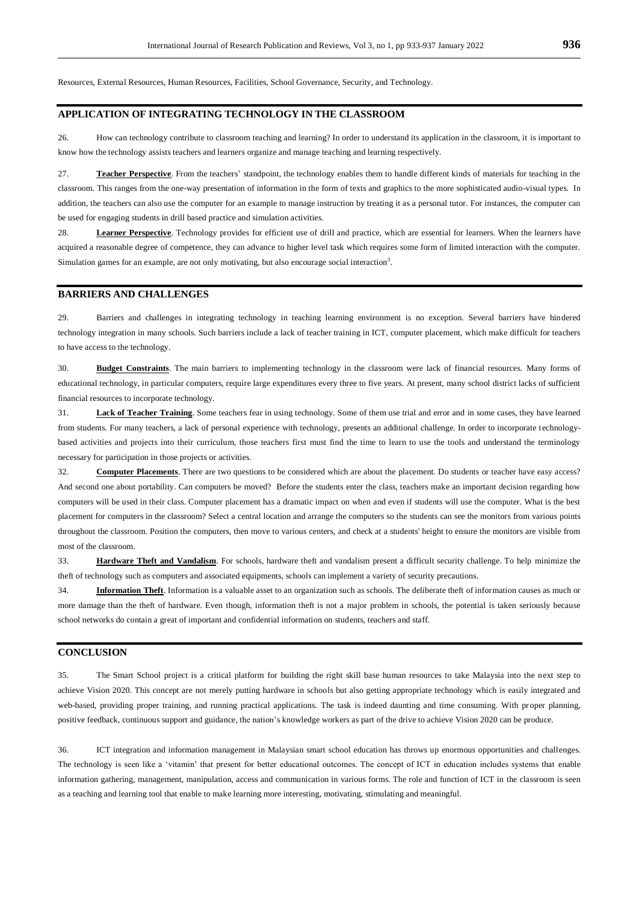Resources, External Resources, Human Resources, Facilities, School Governance, Security, and Technology.

## **APPLICATION OF INTEGRATING TECHNOLOGY IN THE CLASSROOM**

26. How can technology contribute to classroom teaching and learning? In order to understand its application in the classroom, it is important to know how the technology assists teachers and learners organize and manage teaching and learning respectively.

27. **Teacher Perspective**. From the teachers" standpoint, the technology enables them to handle different kinds of materials for teaching in the classroom. This ranges from the one-way presentation of information in the form of texts and graphics to the more sophisticated audio-visual types. In addition, the teachers can also use the computer for an example to manage instruction by treating it as a personal tutor. For instances, the computer can be used for engaging students in drill based practice and simulation activities.

28. **Learner Perspective**. Technology provides for efficient use of drill and practice, which are essential for learners. When the learners have acquired a reasonable degree of competence, they can advance to higher level task which requires some form of limited interaction with the computer. Simulation games for an example, are not only motivating, but also encourage social interaction<sup>3</sup>.

#### **BARRIERS AND CHALLENGES**

29. Barriers and challenges in integrating technology in teaching learning environment is no exception. Several barriers have hindered technology integration in many schools. Such barriers include a lack of teacher training in ICT, computer placement, which make difficult for teachers to have access to the technology.

30. **Budget Constraints**. The main barriers to implementing technology in the classroom were lack of financial resources. Many forms of educational technology, in particular computers, require large expenditures every three to five years. At present, many school district lacks of sufficient financial resources to incorporate technology.

31. **Lack of Teacher Training**. Some teachers fear in using technology. Some of them use trial and error and in some cases, they have learned from students. For many teachers, a lack of personal experience with technology, presents an additional challenge. In order to incorporate technologybased activities and projects into their curriculum, those teachers first must find the time to learn to use the tools and understand the terminology necessary for participation in those projects or activities.

32. **Computer Placements**. There are two questions to be considered which are about the placement. Do students or teacher have easy access? And second one about portability. Can computers be moved? Before the students enter the class, teachers make an important decision regarding how computers will be used in their class. Computer placement has a dramatic impact on when and even if students will use the computer. What is the best placement for computers in the classroom? Select a central location and arrange the computers so the students can see the monitors from various points throughout the classroom. Position the computers, then move to various centers, and check at a students' height to ensure the monitors are visible from most of the classroom.

33. **Hardware Theft and Vandalism**. For schools, hardware theft and vandalism present a difficult security challenge. To help minimize the theft of technology such as computers and associated equipments, schools can implement a variety of security precautions.

34. **Information Theft**. Information is a valuable asset to an organization such as schools. The deliberate theft of information causes as much or more damage than the theft of hardware. Even though, information theft is not a major problem in schools, the potential is taken seriously because school networks do contain a great of important and confidential information on students, teachers and staff.

#### **CONCLUSION**

35. The Smart School project is a critical platform for building the right skill base human resources to take Malaysia into the next step to achieve Vision 2020. This concept are not merely putting hardware in schools but also getting appropriate technology which is easily integrated and web-based, providing proper training, and running practical applications. The task is indeed daunting and time consuming. With proper planning, positive feedback, continuous support and guidance, the nation"s knowledge workers as part of the drive to achieve Vision 2020 can be produce.

36. ICT integration and information management in Malaysian smart school education has throws up enormous opportunities and challenges. The technology is seen like a 'vitamin' that present for better educational outcomes. The concept of ICT in education includes systems that enable information gathering, management, manipulation, access and communication in various forms. The role and function of ICT in the classroom is seen as a teaching and learning tool that enable to make learning more interesting, motivating, stimulating and meaningful.